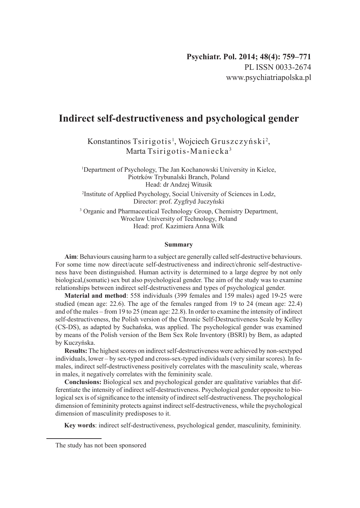# **Indirect self-destructiveness and psychological gender**

Konstantinos Tsirigotis<sup>1</sup>, Wojciech Gruszczyński<sup>2</sup>, Marta Tsirigotis-Maniecka <sup>3</sup>

1 Department of Psychology, The Jan Kochanowski University in Kielce, Piotrków Trybunalski Branch, Poland Head: dr Andzej Witusik

2 Institute of Applied Psychology, Social University of Sciences in Lodz, Director: prof. Zygfryd Juczyński

<sup>3</sup> Organic and Pharmaceutical Technology Group, Chemistry Department, Wroclaw University of Technology, Poland Head: prof. Kazimiera Anna Wilk

#### **Summary**

**Aim**: Behaviours causing harm to a subject are generally called self-destructive behaviours. For some time now direct/acute self-destructiveness and indirect/chronic self-destructiveness have been distinguished. Human activity is determined to a large degree by not only biological,(somatic) sex but also psychological gender. The aim of the study was to examine relationships between indirect self-destructiveness and types of psychological gender.

**Material and method**: 558 individuals (399 females and 159 males) aged 19-25 were studied (mean age: 22.6). The age of the females ranged from 19 to 24 (mean age: 22.4) and of the males – from 19 to 25 (mean age: 22.8). In order to examine the intensity of indirect self-destructiveness, the Polish version of the Chronic Self-Destructiveness Scale by Kelley (CS-DS), as adapted by Suchańska, was applied. The psychological gender was examined by means of the Polish version of the Bem Sex Role Inventory (BSRI) by Bem, as adapted by Kuczyńska.

**Results:** The highest scores on indirect self-destructiveness were achieved by non-sextyped individuals, lower – by sex-typed and cross-sex-typed individuals (very similar scores). In females, indirect self-destructiveness positively correlates with the masculinity scale, whereas in males, it negatively correlates with the femininity scale.

**Conclusions:** Biological sex and psychological gender are qualitative variables that differentiate the intensity of indirect self-destructiveness. Psychological gender opposite to biological sex is of significance to the intensity of indirect self-destructiveness. The psychological dimension of femininity protects against indirect self-destructiveness, while the psychological dimension of masculinity predisposes to it.

**Key words**: indirect self-destructiveness, psychological gender, masculinity, femininity.

The study has not been sponsored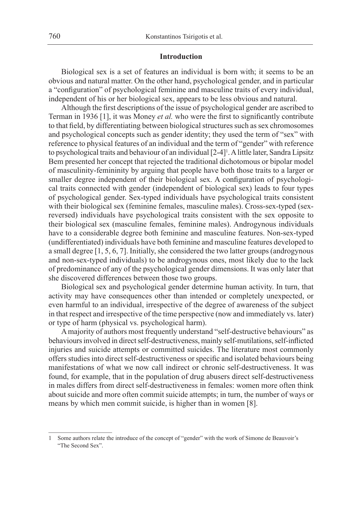# **Introduction**

Biological sex is a set of features an individual is born with; it seems to be an obvious and natural matter. On the other hand, psychological gender, and in particular a "configuration" of psychological feminine and masculine traits of every individual, independent of his or her biological sex, appears to be less obvious and natural.

Although the first descriptions of the issue of psychological gender are ascribed to Terman in 1936 [1], it was Money *et al.* who were the first to significantly contribute to that field, by differentiating between biological structures such as sex chromosomes and psychological concepts such as gender identity; they used the term of "sex" with reference to physical features of an individual and the term of "gender" with reference to psychological traits and behaviour of an individual [2-4]<sup>1</sup>. A little later, Sandra Lipsitz Bem presented her concept that rejected the traditional dichotomous or bipolar model of masculinity-femininity by arguing that people have both those traits to a larger or smaller degree independent of their biological sex. A configuration of psychological traits connected with gender (independent of biological sex) leads to four types of psychological gender. Sex-typed individuals have psychological traits consistent with their biological sex (feminine females, masculine males). Cross-sex-typed (sexreversed) individuals have psychological traits consistent with the sex opposite to their biological sex (masculine females, feminine males). Androgynous individuals have to a considerable degree both feminine and masculine features. Non-sex-typed (undifferentiated) individuals have both feminine and masculine features developed to a small degree [1, 5, 6, 7]. Initially, she considered the two latter groups (androgynous and non-sex-typed individuals) to be androgynous ones, most likely due to the lack of predominance of any of the psychological gender dimensions. It was only later that she discovered differences between those two groups.

Biological sex and psychological gender determine human activity. In turn, that activity may have consequences other than intended or completely unexpected, or even harmful to an individual, irrespective of the degree of awareness of the subject in that respect and irrespective of the time perspective (now and immediately vs. later) or type of harm (physical vs. psychological harm).

A majority of authors most frequently understand "self-destructive behaviours" as behaviours involved in direct self-destructiveness, mainly self-mutilations, self-inflicted injuries and suicide attempts or committed suicides. The literature most commonly offers studies into direct self-destructiveness or specific and isolated behaviours being manifestations of what we now call indirect or chronic self-destructiveness. It was found, for example, that in the population of drug abusers direct self-destructiveness in males differs from direct self-destructiveness in females: women more often think about suicide and more often commit suicide attempts; in turn, the number of ways or means by which men commit suicide, is higher than in women [8].

<sup>1</sup> Some authors relate the introduce of the concept of "gender" with the work of Simone de Beauvoir's "The Second Sex".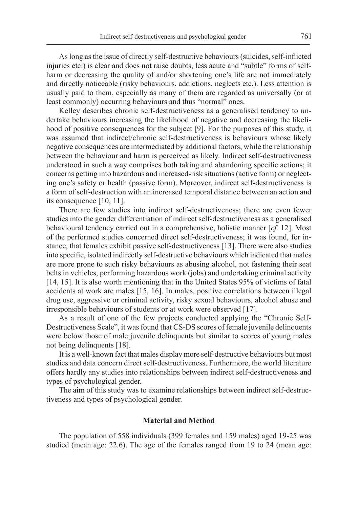As long as the issue of directly self-destructive behaviours (suicides, self-inflicted injuries etc.) is clear and does not raise doubts, less acute and "subtle" forms of selfharm or decreasing the quality of and/or shortening one's life are not immediately and directly noticeable (risky behaviours, addictions, neglects etc.). Less attention is usually paid to them, especially as many of them are regarded as universally (or at least commonly) occurring behaviours and thus "normal" ones.

Kelley describes chronic self-destructiveness as a generalised tendency to undertake behaviours increasing the likelihood of negative and decreasing the likelihood of positive consequences for the subject [9]. For the purposes of this study, it was assumed that indirect/chronic self-destructiveness is behaviours whose likely negative consequences are intermediated by additional factors, while the relationship between the behaviour and harm is perceived as likely. Indirect self-destructiveness understood in such a way comprises both taking and abandoning specific actions; it concerns getting into hazardous and increased-risk situations (active form) or neglecting one's safety or health (passive form). Moreover, indirect self-destructiveness is a form of self-destruction with an increased temporal distance between an action and its consequence [10, 11].

There are few studies into indirect self-destructiveness; there are even fewer studies into the gender differentiation of indirect self-destructiveness as a generalised behavioural tendency carried out in a comprehensive, holistic manner [*cf.* 12]. Most of the performed studies concerned direct self-destructiveness; it was found, for instance, that females exhibit passive self-destructiveness [13]. There were also studies into specific, isolated indirectly self-destructive behaviours which indicated that males are more prone to such risky behaviours as abusing alcohol, not fastening their seat belts in vehicles, performing hazardous work (jobs) and undertaking criminal activity [14, 15]. It is also worth mentioning that in the United States 95% of victims of fatal accidents at work are males [15, 16]. In males, positive correlations between illegal drug use, aggressive or criminal activity, risky sexual behaviours, alcohol abuse and irresponsible behaviours of students or at work were observed [17].

As a result of one of the few projects conducted applying the "Chronic Self-Destructiveness Scale", it was found that CS-DS scores of female juvenile delinquents were below those of male juvenile delinquents but similar to scores of young males not being delinquents [18].

It is a well-known fact that males display more self-destructive behaviours but most studies and data concern direct self-destructiveness. Furthermore, the world literature offers hardly any studies into relationships between indirect self-destructiveness and types of psychological gender.

The aim of this study was to examine relationships between indirect self-destructiveness and types of psychological gender.

# **Material and Method**

The population of 558 individuals (399 females and 159 males) aged 19-25 was studied (mean age: 22.6). The age of the females ranged from 19 to 24 (mean age: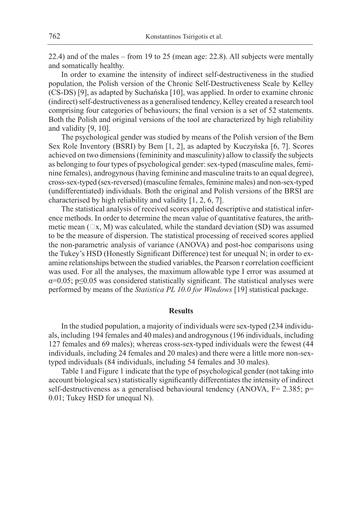22.4) and of the males – from 19 to 25 (mean age: 22.8). All subjects were mentally and somatically healthy.

In order to examine the intensity of indirect self-destructiveness in the studied population, the Polish version of the Chronic Self-Destructiveness Scale by Kelley (CS-DS) [9], as adapted by Suchańska [10], was applied. In order to examine chronic (indirect) self-destructiveness as a generalised tendency, Kelley created a research tool comprising four categories of behaviours; the final version is a set of 52 statements. Both the Polish and original versions of the tool are characterized by high reliability and validity [9, 10].

The psychological gender was studied by means of the Polish version of the Bem Sex Role Inventory (BSRI) by Bem [1, 2], as adapted by Kuczyńska [6, 7]. Scores achieved on two dimensions (femininity and masculinity) allow to classify the subjects as belonging to four types of psychological gender: sex-typed (masculine males, feminine females), androgynous (having feminine and masculine traits to an equal degree), cross-sex-typed (sex-reversed) (masculine females, feminine males) and non-sex-typed (undifferentiated) individuals. Both the original and Polish versions of the BRSI are characterised by high reliability and validity [1, 2, 6, 7].

The statistical analysis of received scores applied descriptive and statistical inference methods. In order to determine the mean value of quantitative features, the arithmetic mean  $(\square x, M)$  was calculated, while the standard deviation (SD) was assumed to be the measure of dispersion. The statistical processing of received scores applied the non-parametric analysis of variance (ANOVA) and post-hoc comparisons using the Tukey's HSD (Honestly Significant Difference) test for unequal N; in order to examine relationships between the studied variables, the Pearson r correlation coefficient was used. For all the analyses, the maximum allowable type I error was assumed at α=0.05; p≤0.05 was considered statistically significant. The statistical analyses were performed by means of the *Statistica PL 10.0 for Windows* [19] statistical package.

#### **Results**

In the studied population, a majority of individuals were sex-typed (234 individuals, including 194 females and 40 males) and androgynous (196 individuals, including 127 females and 69 males); whereas cross-sex-typed individuals were the fewest (44 individuals, including 24 females and 20 males) and there were a little more non-sextyped individuals (84 individuals, including 54 females and 30 males).

Table 1 and Figure 1 indicate that the type of psychological gender (not taking into account biological sex) statistically significantly differentiates the intensity of indirect self-destructiveness as a generalised behavioural tendency (ANOVA, F= 2.385; p= 0.01; Tukey HSD for unequal N).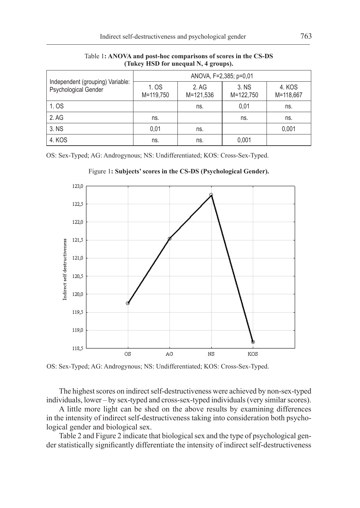|                                                          | ANOVA, F=2,385; p=0,01 |                    |                    |                     |  |  |
|----------------------------------------------------------|------------------------|--------------------|--------------------|---------------------|--|--|
| Independent (grouping) Variable:<br>Psychological Gender | 1. OS<br>M=119,750     | 2. AG<br>M=121,536 | 3. NS<br>M=122,750 | 4. KOS<br>M=118,667 |  |  |
| 1. OS                                                    |                        | ns.                | 0.01               | ns.                 |  |  |
| 2. AG                                                    | ns.                    |                    | ns.                | ns.                 |  |  |
| 3. NS                                                    | 0.01                   | ns.                |                    | 0,001               |  |  |
| 4. KOS                                                   | ns.                    | ns.                | 0.001              |                     |  |  |

Table 1**: ANOVA and post-hoc comparisons of scores in the CS-DS (Tukey HSD for unequal N, 4 groups).**

OS: Sex-Typed; AG: Androgynous; NS: Undifferentiated; KOS: Cross-Sex-Typed.



Figure 1**: Subjects' scores in the CS-DS (Psychological Gender).**

OS: Sex-Typed; AG: Androgynous; NS: Undifferentiated; KOS: Cross-Sex-Typed.

The highest scores on indirect self-destructiveness were achieved by non-sex-typed individuals, lower – by sex-typed and cross-sex-typed individuals (very similar scores).

A little more light can be shed on the above results by examining differences in the intensity of indirect self-destructiveness taking into consideration both psychological gender and biological sex.

Table 2 and Figure 2 indicate that biological sex and the type of psychological gender statistically significantly differentiate the intensity of indirect self-destructiveness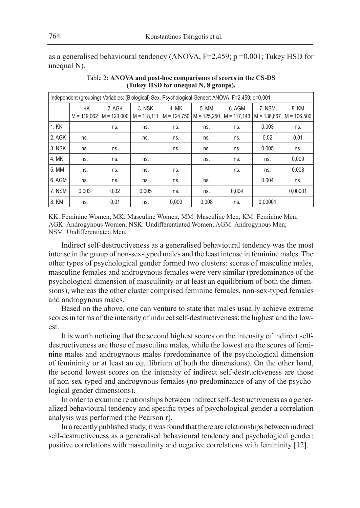as a generalised behavioural tendency (ANOVA,  $F=2.459$ ;  $p = 0.001$ ; Tukey HSD for unequal N).

| Independent (grouping) Variables: (Biological) Sex, Psychological Gender; ANOVA, F=2,459; p=0,001 |                       |                         |                         |                        |                        |                         |                         |                        |
|---------------------------------------------------------------------------------------------------|-----------------------|-------------------------|-------------------------|------------------------|------------------------|-------------------------|-------------------------|------------------------|
|                                                                                                   | 1.KK<br>$M = 119.062$ | 2. AGK<br>$M = 123.000$ | 3. NSK<br>$M = 118.111$ | 4. MK<br>$M = 124.750$ | 5. MM<br>$M = 125.250$ | 6. AGM<br>$M = 117.143$ | 7. NSM<br>$M = 136.667$ | 8. KM<br>$M = 106,500$ |
| 1. KK                                                                                             |                       | ns.                     | ns.                     | ns.                    | ns.                    | ns.                     | 0,003                   | ns.                    |
| 2. AGK                                                                                            | ns.                   |                         | ns.                     | ns.                    | ns.                    | ns.                     | 0,02                    | 0,01                   |
| 3. NSK                                                                                            | ns.                   | ns.                     |                         | ns.                    | ns.                    | ns.                     | 0,005                   | ns.                    |
| 4. MK                                                                                             | ns.                   | ns.                     | ns.                     |                        | ns.                    | ns.                     | ns.                     | 0,009                  |
| 5. MM                                                                                             | ns.                   | ns.                     | ns.                     | ns.                    |                        | ns.                     | ns.                     | 0,008                  |
| 6. AGM                                                                                            | ns.                   | ns.                     | ns.                     | ns.                    | ns.                    |                         | 0,004                   | ns.                    |
| 7. NSM                                                                                            | 0.003                 | 0.02                    | 0.005                   | ns.                    | ns.                    | 0.004                   |                         | 0.00001                |
| 8. KM                                                                                             | ns.                   | 0,01                    | ns.                     | 0.009                  | 0.008                  | ns.                     | 0.00001                 |                        |

Table 2**: ANOVA and post-hoc comparisons of scores in the CS-DS (Tukey HSD for unequal N, 8 groups).**

KK: Feminine Women; MK: Masculine Women; MM: Masculine Men; KM: Feminine Men; AGK: Androgynous Women; NSK: Undifferentiated Women; AGM: Androgynous Men; NSM: Undifferentiated Men.

Indirect self-destructiveness as a generalised behavioural tendency was the most intense in the group of non-sex-typed males and the least intense in feminine males. The other types of psychological gender formed two clusters: scores of masculine males, masculine females and androgynous females were very similar (predominance of the psychological dimension of masculinity or at least an equilibrium of both the dimensions), whereas the other cluster comprised feminine females, non-sex-typed females and androgynous males.

Based on the above, one can venture to state that males usually achieve extreme scores in terms of the intensity of indirect self-destructiveness: the highest and the lowest.

It is worth noticing that the second highest scores on the intensity of indirect selfdestructiveness are those of masculine males, while the lowest are the scores of feminine males and androgynous males (predominance of the psychological dimension of femininity or at least an equilibrium of both the dimensions). On the other hand, the second lowest scores on the intensity of indirect self-destructiveness are those of non-sex-typed and androgynous females (no predominance of any of the psychological gender dimensions).

In order to examine relationships between indirect self-destructiveness as a generalized behavioural tendency and specific types of psychological gender a correlation analysis was performed (the Pearson r).

In a recently published study, it was found that there are relationships between indirect self-destructiveness as a generalised behavioural tendency and psychological gender: positive correlations with masculinity and negative correlations with femininity [12].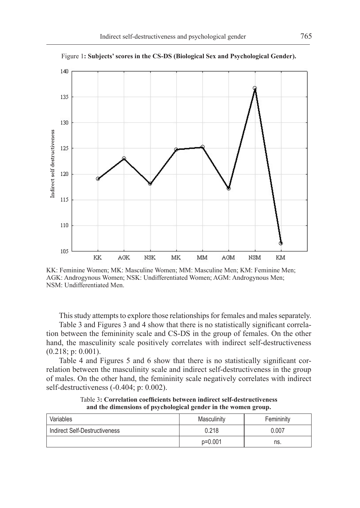

Figure 1**: Subjects' scores in the CS-DS (Biological Sex and Psychological Gender).**

KK: Feminine Women; MK: Masculine Women; MM: Masculine Men; KM: Feminine Men; AGK: Androgynous Women; NSK: Undifferentiated Women; AGM: Androgynous Men; NSM: Undifferentiated Men.

This study attempts to explore those relationships for females and males separately.

Table 3 and Figures 3 and 4 show that there is no statistically significant correlation between the femininity scale and CS-DS in the group of females. On the other hand, the masculinity scale positively correlates with indirect self-destructiveness (0.218; p: 0.001).

Table 4 and Figures 5 and 6 show that there is no statistically significant correlation between the masculinity scale and indirect self-destructiveness in the group of males. On the other hand, the femininity scale negatively correlates with indirect self-destructiveness (-0.404; p: 0.002).

Variables **Masculinity Masculinity Femininity** Indirect Self-Destructiveness 0.218 0.007 p=0.001 ns.

Table 3**: Correlation coefficients between indirect self-destructiveness and the dimensions of psychological gender in the women group.**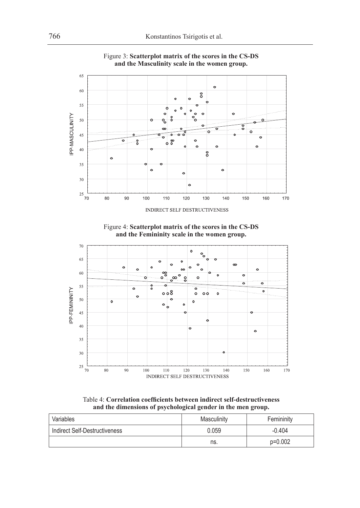

Figure 3: **Scatterplot matrix of the scores in the CS-DS and the Masculinity scale in the women group.**





Table 4: **Correlation coefficients between indirect self-destructiveness and the dimensions of psychological gender in the men group.**

| Variables                     | Masculinity | Femininity |  |
|-------------------------------|-------------|------------|--|
| Indirect Self-Destructiveness | 0.059       | $-0.404$   |  |
|                               | ns.         | $p=0.002$  |  |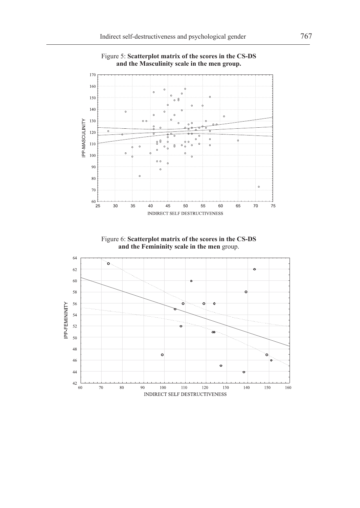

Figure 5: **Scatterplot matrix of the scores in the CS-DS and the Masculinity scale in the men group.**

Figure 6: **Scatterplot matrix of the scores in the CS-DS and the Femininity scale in the men** group.

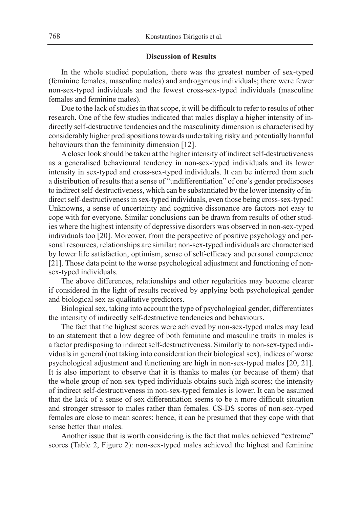#### **Discussion of Results**

In the whole studied population, there was the greatest number of sex-typed (feminine females, masculine males) and androgynous individuals; there were fewer non-sex-typed individuals and the fewest cross-sex-typed individuals (masculine females and feminine males).

Due to the lack of studies in that scope, it will be difficult to refer to results of other research. One of the few studies indicated that males display a higher intensity of indirectly self-destructive tendencies and the masculinity dimension is characterised by considerably higher predispositions towards undertaking risky and potentially harmful behaviours than the femininity dimension [12].

A closer look should be taken at the higher intensity of indirect self-destructiveness as a generalised behavioural tendency in non-sex-typed individuals and its lower intensity in sex-typed and cross-sex-typed individuals. It can be inferred from such a distribution of results that a sense of "undifferentiation" of one's gender predisposes to indirect self-destructiveness, which can be substantiated by the lower intensity of indirect self-destructiveness in sex-typed individuals, even those being cross-sex-typed! Unknowns, a sense of uncertainty and cognitive dissonance are factors not easy to cope with for everyone. Similar conclusions can be drawn from results of other studies where the highest intensity of depressive disorders was observed in non-sex-typed individuals too [20]. Moreover, from the perspective of positive psychology and personal resources, relationships are similar: non-sex-typed individuals are characterised by lower life satisfaction, optimism, sense of self-efficacy and personal competence [21]. Those data point to the worse psychological adjustment and functioning of nonsex-typed individuals.

The above differences, relationships and other regularities may become clearer if considered in the light of results received by applying both psychological gender and biological sex as qualitative predictors.

Biological sex, taking into account the type of psychological gender, differentiates the intensity of indirectly self-destructive tendencies and behaviours.

The fact that the highest scores were achieved by non-sex-typed males may lead to an statement that a low degree of both feminine and masculine traits in males is a factor predisposing to indirect self-destructiveness. Similarly to non-sex-typed individuals in general (not taking into consideration their biological sex), indices of worse psychological adjustment and functioning are high in non-sex-typed males [20, 21]. It is also important to observe that it is thanks to males (or because of them) that the whole group of non-sex-typed individuals obtains such high scores; the intensity of indirect self-destructiveness in non-sex-typed females is lower. It can be assumed that the lack of a sense of sex differentiation seems to be a more difficult situation and stronger stressor to males rather than females. CS-DS scores of non-sex-typed females are close to mean scores; hence, it can be presumed that they cope with that sense better than males.

Another issue that is worth considering is the fact that males achieved "extreme" scores (Table 2, Figure 2): non-sex-typed males achieved the highest and feminine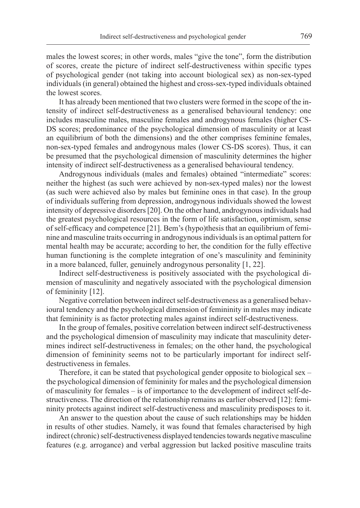males the lowest scores; in other words, males "give the tone", form the distribution of scores, create the picture of indirect self-destructiveness within specific types of psychological gender (not taking into account biological sex) as non-sex-typed individuals (in general) obtained the highest and cross-sex-typed individuals obtained the lowest scores.

It has already been mentioned that two clusters were formed in the scope of the intensity of indirect self-destructiveness as a generalised behavioural tendency: one includes masculine males, masculine females and androgynous females (higher CS-DS scores; predominance of the psychological dimension of masculinity or at least an equilibrium of both the dimensions) and the other comprises feminine females, non-sex-typed females and androgynous males (lower CS-DS scores). Thus, it can be presumed that the psychological dimension of masculinity determines the higher intensity of indirect self-destructiveness as a generalised behavioural tendency.

Androgynous individuals (males and females) obtained "intermediate" scores: neither the highest (as such were achieved by non-sex-typed males) nor the lowest (as such were achieved also by males but feminine ones in that case). In the group of individuals suffering from depression, androgynous individuals showed the lowest intensity of depressive disorders [20]. On the other hand, androgynous individuals had the greatest psychological resources in the form of life satisfaction, optimism, sense of self-efficacy and competence [21]. Bem's (hypo)thesis that an equilibrium of feminine and masculine traits occurring in androgynous individuals is an optimal pattern for mental health may be accurate; according to her, the condition for the fully effective human functioning is the complete integration of one's masculinity and femininity in a more balanced, fuller, genuinely androgynous personality [1, 22].

Indirect self-destructiveness is positively associated with the psychological dimension of masculinity and negatively associated with the psychological dimension of femininity [12].

Negative correlation between indirect self-destructiveness as a generalised behavioural tendency and the psychological dimension of femininity in males may indicate that femininity is as factor protecting males against indirect self-destructiveness.

In the group of females, positive correlation between indirect self-destructiveness and the psychological dimension of masculinity may indicate that masculinity determines indirect self-destructiveness in females; on the other hand, the psychological dimension of femininity seems not to be particularly important for indirect selfdestructiveness in females.

Therefore, it can be stated that psychological gender opposite to biological sex – the psychological dimension of femininity for males and the psychological dimension of masculinity for females – is of importance to the development of indirect self-destructiveness. The direction of the relationship remains as earlier observed [12]: femininity protects against indirect self-destructiveness and masculinity predisposes to it.

An answer to the question about the cause of such relationships may be hidden in results of other studies. Namely, it was found that females characterised by high indirect (chronic) self-destructiveness displayed tendencies towards negative masculine features (e.g. arrogance) and verbal aggression but lacked positive masculine traits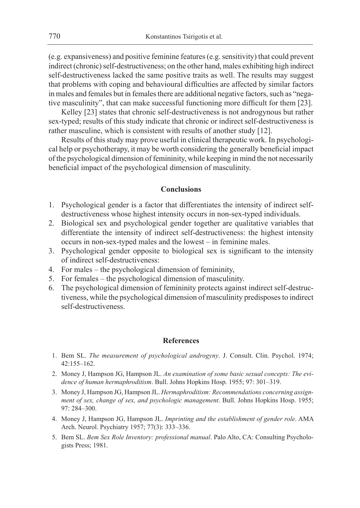(e.g. expansiveness) and positive feminine features (e.g. sensitivity) that could prevent indirect (chronic) self-destructiveness; on the other hand, males exhibiting high indirect self-destructiveness lacked the same positive traits as well. The results may suggest that problems with coping and behavioural difficulties are affected by similar factors in males and females but in females there are additional negative factors, such as "negative masculinity", that can make successful functioning more difficult for them [23].

Kelley [23] states that chronic self-destructiveness is not androgynous but rather sex-typed; results of this study indicate that chronic or indirect self-destructiveness is rather masculine, which is consistent with results of another study [12].

Results of this study may prove useful in clinical therapeutic work. In psychological help or psychotherapy, it may be worth considering the generally beneficial impact of the psychological dimension of femininity, while keeping in mind the not necessarily beneficial impact of the psychological dimension of masculinity.

# **Conclusions**

- 1. Psychological gender is a factor that differentiates the intensity of indirect selfdestructiveness whose highest intensity occurs in non-sex-typed individuals.
- 2. Biological sex and psychological gender together are qualitative variables that differentiate the intensity of indirect self-destructiveness: the highest intensity occurs in non-sex-typed males and the lowest – in feminine males.
- 3. Psychological gender opposite to biological sex is significant to the intensity of indirect self-destructiveness:
- 4. For males the psychological dimension of femininity,
- 5. For females the psychological dimension of masculinity.
- 6. The psychological dimension of femininity protects against indirect self-destructiveness, while the psychological dimension of masculinity predisposes to indirect self-destructiveness.

# **References**

- 1. Bem SL. *The measurement of psychological androgyny*. J. Consult. Clin. Psychol. 1974; 42:155–162.
- 2. Money J, Hampson JG, Hampson JL. *An examination of some basic sexual concepts: The evidence of human hermaphroditism*. Bull. Johns Hopkins Hosp. 1955; 97: 301–319.
- 3. Money J, Hampson JG, Hampson JL. *Hermaphroditism: Recommendations concerning assignment of sex, change of sex, and psychologic management*. Bull. Johns Hopkins Hosp. 1955; 97: 284–300.
- 4. Money J, Hampson JG, Hampson JL. *Imprinting and the establishment of gender role*. AMA Arch. Neurol. Psychiatry 1957; 77(3): 333–336.
- 5. Bem SL. *Bem Sex Role Inventory: professional manual*. Palo Alto, CA: Consulting Psychologists Press; 1981.